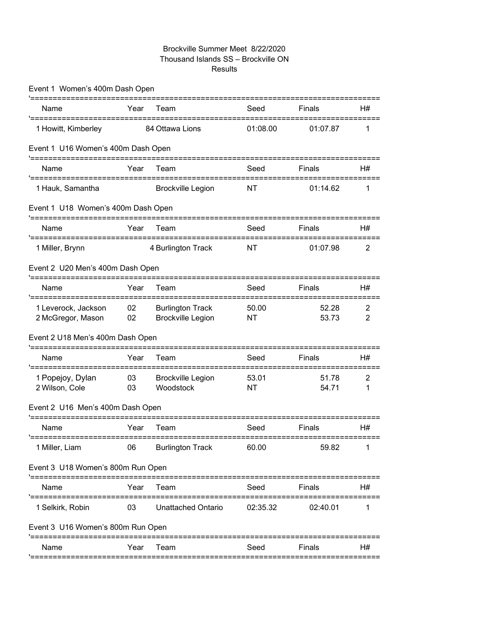### Brockville Summer Meet 8/22/2020 Thousand Islands SS – Brockville ON Results

| Event 1 Women's 400m Dash Open                                         |          |                                                     |                    |                |                                  |
|------------------------------------------------------------------------|----------|-----------------------------------------------------|--------------------|----------------|----------------------------------|
| Name                                                                   | Year     | Team                                                | Seed               | Finals         | H#                               |
| 1 Howitt, Kimberley                                                    |          | 84 Ottawa Lions                                     | 01:08.00           | 01:07.87       | 1                                |
| Event 1 U16 Women's 400m Dash Open                                     |          |                                                     |                    |                |                                  |
| Name                                                                   | Year     | Team                                                | Seed               | Finals         | H#                               |
| 1 Hauk, Samantha                                                       |          | <b>Brockville Legion</b>                            | NT                 | 01:14.62       | 1                                |
| Event 1 U18 Women's 400m Dash Open<br>'=============================== |          |                                                     |                    |                |                                  |
| Name                                                                   | Year     | -------<br>Team                                     | Seed               | Finals         | H#                               |
| '=================================<br>1 Miller, Brynn                  |          | 4 Burlington Track                                  | <b>NT</b>          | 01:07.98       | $\overline{2}$                   |
| Event 2 U20 Men's 400m Dash Open                                       |          |                                                     |                    |                |                                  |
| Name                                                                   | Year     | Team                                                | Seed               | Finals         | H#                               |
| 1 Leverock, Jackson<br>2 McGregor, Mason                               | 02<br>02 | <b>Burlington Track</b><br><b>Brockville Legion</b> | 50.00<br><b>NT</b> | 52.28<br>53.73 | $\overline{2}$<br>$\overline{2}$ |
| Event 2 U18 Men's 400m Dash Open                                       |          |                                                     |                    |                |                                  |
| Name                                                                   | Year     | Team                                                | Seed               | Finals         | H#                               |
| 1 Popejoy, Dylan<br>2 Wilson, Cole                                     | 03<br>03 | <b>Brockville Legion</b><br>Woodstock               | 53.01<br><b>NT</b> | 51.78<br>54.71 | $\overline{2}$<br>1              |
| Event 2 U16 Men's 400m Dash Open                                       |          |                                                     |                    |                |                                  |
| Name                                                                   | Year     | Team                                                | Seed               | Finals         | H#                               |
| 1 Miller, Liam                                                         | 06       | <b>Burlington Track</b>                             | 60.00              | 59.82          |                                  |
| Event 3 U18 Women's 800m Run Open                                      |          |                                                     |                    |                |                                  |
| Name                                                                   | Year     | Team                                                | Seed               | Finals         | H#                               |
| 1 Selkirk, Robin                                                       | 03       | Unattached Ontario                                  | 02:35.32           | 02:40.01       | 1                                |
| Event 3 U16 Women's 800m Run Open                                      |          |                                                     |                    |                |                                  |
| Name                                                                   | Year     | Team                                                | Seed               | Finals         | H#                               |
|                                                                        |          |                                                     |                    |                |                                  |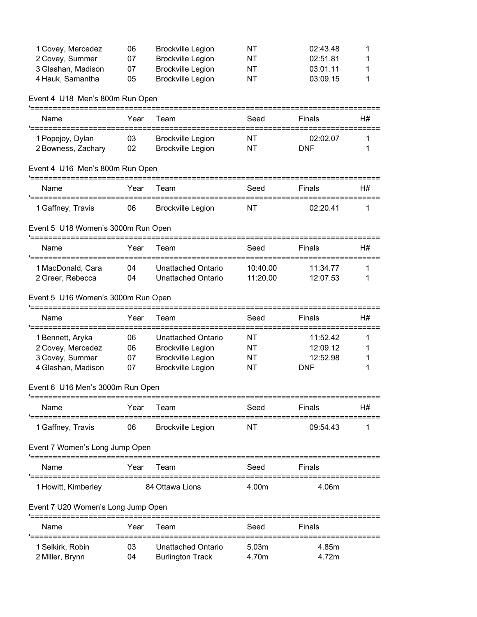| 1 Covey, Mercedez  | 06 | <b>Brockville Legion</b> | NT | 02:43.48 |  |
|--------------------|----|--------------------------|----|----------|--|
| 2 Covey, Summer    | 07 | <b>Brockville Legion</b> | NT | 02:51.81 |  |
| 3 Glashan, Madison | 07 | Brockville Legion        | NT | 03:01.11 |  |
| 4 Hauk, Samantha   | 05 | <b>Brockville Legion</b> | NT | 03:09.15 |  |

## Event 4 U18 Men's 800m Run Open

| Name                                                         | Year | Team                      | Seed      | Finals     | H# |
|--------------------------------------------------------------|------|---------------------------|-----------|------------|----|
| 1 Popejoy, Dylan                                             | 03   | <b>Brockville Legion</b>  | NT        | 02:02.07   |    |
| 2 Bowness, Zachary                                           | 02   | <b>Brockville Legion</b>  | NT        | <b>DNF</b> | 1  |
| Event 4 U16 Men's 800m Run Open<br>'======================== |      |                           |           |            |    |
| Name                                                         | Year | Team                      | Seed      | Finals     | H# |
| 1 Gaffney, Travis                                            | 06   | <b>Brockville Legion</b>  | <b>NT</b> | 02:20.41   | 1  |
| Event 5 U18 Women's 3000m Run Open                           |      |                           |           |            |    |
| Name                                                         | Year | Team                      | Seed      | Finals     | H# |
| 1 MacDonald, Cara                                            | 04   | Unattached Ontario        | 10:40.00  | 11:34.77   | 1  |
| 2 Greer, Rebecca                                             | 04   | <b>Unattached Ontario</b> | 11:20.00  | 12:07.53   | 1  |
| Event 5 U16 Women's 3000m Run Open                           |      |                           |           |            |    |
| '========================                                    |      |                           |           |            |    |
| Name<br>'==================                                  | Year | Team                      | Seed      | Finals     | H# |
| 1 Bennett, Aryka                                             | 06   | <b>Unattached Ontario</b> | NT        | 11:52.42   | 1  |
| 2 Covey, Mercedez                                            | 06   | <b>Brockville Legion</b>  | NT        | 12:09.12   |    |
| 3 Covey, Summer                                              | 07   | <b>Brockville Legion</b>  | NT        | 12:52.98   |    |
| 4 Glashan, Madison                                           | 07   | <b>Brockville Legion</b>  | NT        | <b>DNF</b> |    |
| Event 6 U16 Men's 3000m Run Open                             |      |                           |           |            |    |
| Name                                                         | Year | Team                      | Seed      | Finals     | H# |
| '============<br>1 Gaffney, Travis                           | 06   | <b>Brockville Legion</b>  | NΤ        | 09:54.43   | 1  |
| Event 7 Women's Long Jump Open                               |      |                           |           |            |    |
| Name                                                         | Year | Team                      | Seed      | Finals     |    |
| 1 Howitt, Kimberley                                          |      | 84 Ottawa Lions           | 4.00m     | 4.06m      |    |
| Event 7 U20 Women's Long Jump Open                           |      |                           |           |            |    |
| '=========================<br>Name                           | Year | Team                      | Seed      | Finals     |    |
| '=============================<br>1 Selkirk, Robin           | 03   | <b>Unattached Ontario</b> | 5.03m     | 4.85m      |    |
| 2 Miller, Brynn                                              | 04   | <b>Burlington Track</b>   | 4.70m     | 4.72m      |    |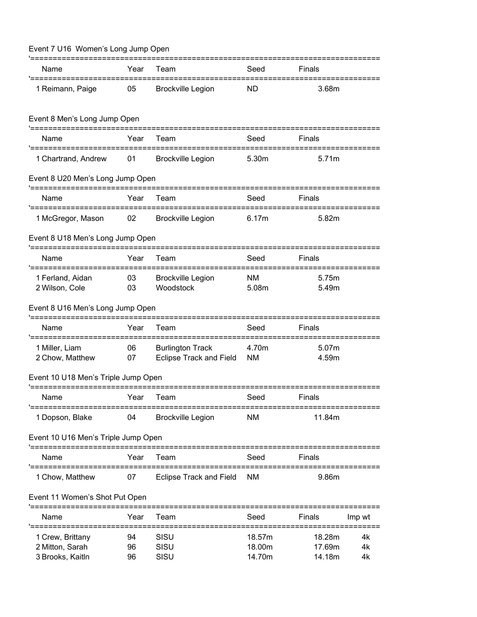| Event 7 U16 Women's Long Jump Open                                              |                |                                                    |                            |                            |                |  |
|---------------------------------------------------------------------------------|----------------|----------------------------------------------------|----------------------------|----------------------------|----------------|--|
| Name                                                                            | Year           | Team                                               | Seed                       | Finals                     |                |  |
| 1 Reimann, Paige                                                                | 05             | <b>Brockville Legion</b>                           | <b>ND</b>                  | 3.68m                      |                |  |
| Event 8 Men's Long Jump Open                                                    |                |                                                    |                            |                            |                |  |
| Name                                                                            | Year           | Team                                               | Seed                       | Finals                     |                |  |
| 1 Chartrand, Andrew                                                             | 01             | <b>Brockville Legion</b>                           | 5.30m                      | 5.71m                      |                |  |
| Event 8 U20 Men's Long Jump Open                                                |                |                                                    |                            |                            |                |  |
| Name                                                                            | Year           | Team                                               | Seed                       | Finals                     |                |  |
| 1 McGregor, Mason                                                               | 02             | <b>Brockville Legion</b>                           | 6.17m                      | 5.82m                      |                |  |
| Event 8 U18 Men's Long Jump Open                                                |                |                                                    |                            |                            |                |  |
| Name                                                                            | Year           | Team                                               | Seed                       | Finals                     |                |  |
| '============<br>1 Ferland, Aidan<br>2 Wilson, Cole                             | 03<br>03       | <b>Brockville Legion</b><br>Woodstock              | <b>NM</b><br>5.08m         | 5.75m<br>5.49m             |                |  |
| Event 8 U16 Men's Long Jump Open                                                |                |                                                    |                            |                            |                |  |
| Name                                                                            | Year           | Team                                               | Seed                       | Finals                     |                |  |
| 1 Miller, Liam<br>2 Chow, Matthew                                               | 06<br>07       | <b>Burlington Track</b><br>Eclipse Track and Field | 4.70m<br><b>NM</b>         | 5.07m<br>4.59m             |                |  |
| Event 10 U18 Men's Triple Jump Open                                             |                |                                                    |                            |                            |                |  |
| Name                                                                            | Year           | Team                                               | Seed                       | Finals                     |                |  |
| 1 Dopson, Blake                                                                 | 04             | <b>Brockville Legion</b>                           | <b>NM</b>                  | 11.84m                     |                |  |
| Event 10 U16 Men's Triple Jump Open                                             |                |                                                    |                            |                            |                |  |
| Name                                                                            | Year           | Team                                               | Seed                       | Finals                     |                |  |
| 1 Chow, Matthew                                                                 | 07             | <b>Eclipse Track and Field</b>                     | ΝM                         | 9.86m                      |                |  |
| Event 11 Women's Shot Put Open                                                  |                |                                                    |                            |                            |                |  |
| Name                                                                            | Year           | I eam                                              | Seed                       | Finals                     | Imp wt         |  |
| '===================<br>1 Crew, Brittany<br>2 Mitton, Sarah<br>3 Brooks, Kaitln | 94<br>96<br>96 | SISU<br>SISU<br>SISU                               | 18.57m<br>18.00m<br>14.70m | 18.28m<br>17.69m<br>14.18m | 4k<br>4k<br>4k |  |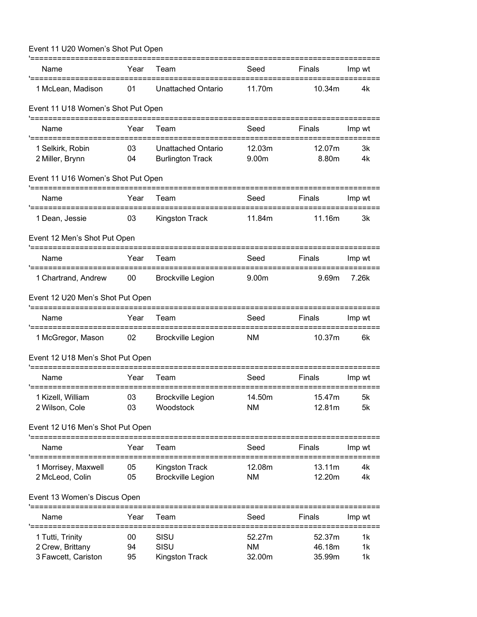| Event 11 U20 Women's Shot Put Open<br>'======================= |          |                               |                     |                  |          |
|----------------------------------------------------------------|----------|-------------------------------|---------------------|------------------|----------|
| Name                                                           | Year     | Team                          | Seed                | Finals           | Imp wt   |
| 1 McLean, Madison                                              | 01       | <b>Unattached Ontario</b>     | 11.70m              | 10.34m           | 4k       |
| Event 11 U18 Women's Shot Put Open                             |          |                               |                     |                  |          |
| Name                                                           | Year     | Team                          | Seed                | Finals           | Imp wt   |
| 1 Selkirk, Robin                                               | 03       | <b>Unattached Ontario</b>     | 12.03m              | 12.07m           | 3k       |
| 2 Miller, Brynn                                                | 04       | <b>Burlington Track</b>       | 9.00m               | 8.80m            | 4k       |
| Event 11 U16 Women's Shot Put Open                             |          |                               |                     |                  |          |
| Name                                                           | Year     | Team                          | Seed                | Finals           | Imp wt   |
| 1 Dean, Jessie                                                 | 03       | Kingston Track                | 11.84m              | 11.16m           | 3k       |
| Event 12 Men's Shot Put Open                                   |          |                               |                     |                  |          |
| Name                                                           | Year     | Team                          | Seed                | Finals           | Imp wt   |
| 1 Chartrand, Andrew                                            | 00       | <b>Brockville Legion</b>      | 9.00m               | 9.69m            | 7.26k    |
| Event 12 U20 Men's Shot Put Open                               |          |                               |                     |                  |          |
| Name                                                           | Year     | Team                          | Seed                | Finals           | Imp wt   |
| '=============<br>1 McGregor, Mason                            | 02       | <b>Brockville Legion</b>      | <b>NM</b>           | 10.37m           | 6k       |
| Event 12 U18 Men's Shot Put Open                               |          |                               |                     |                  |          |
| Name                                                           | Year     | Team                          | Seed                | Finals           | Imp wt   |
| 1 Kizell, William                                              | 03       | <b>Brockville Legion</b>      | 14.50m              | 15.47m           | 5k       |
| 2 Wilson, Cole                                                 | 03       | Woodstock                     | <b>NM</b>           | 12.81m           | 5k       |
| Event 12 U16 Men's Shot Put Open<br>'========================  |          |                               |                     |                  |          |
| Name                                                           | Year     | Team                          | Seed                | Finals           | Imp wt   |
| '===================<br>1 Morrisey, Maxwell                    | 05       | <b>Kingston Track</b>         | 12.08m              | 13.11m           | 4k       |
| 2 McLeod, Colin                                                | 05       | <b>Brockville Legion</b>      | <b>NM</b>           | 12.20m           | 4k       |
| Event 13 Women's Discus Open                                   |          |                               |                     |                  |          |
| Name                                                           | Year     | Team                          | Seed                | Finals           | Imp wt   |
| 1 Tutti, Trinity                                               | 00       | SISU                          | 52.27m              | 52.37m           | 1k       |
| 2 Crew, Brittany<br>3 Fawcett, Cariston                        | 94<br>95 | SISU<br><b>Kingston Track</b> | <b>NM</b><br>32.00m | 46.18m<br>35.99m | 1k<br>1k |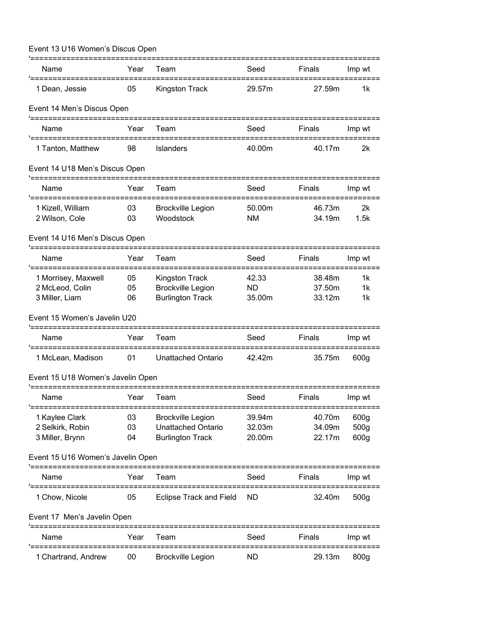| Event 13 U16 Women's Discus Open                    |          |                                                |               |                  |                  |
|-----------------------------------------------------|----------|------------------------------------------------|---------------|------------------|------------------|
| Name                                                | Year     | Team                                           | Seed          | Finals           | Imp wt           |
| '===============================<br>1 Dean, Jessie  | 05       | =====================<br><b>Kingston Track</b> | 29.57m        | 27.59m           | 1k               |
| Event 14 Men's Discus Open                          |          |                                                |               |                  |                  |
| Name                                                | Year     | Team                                           | Seed          | Finals           | Imp wt           |
| 1 Tanton, Matthew                                   | 98       | <b>Islanders</b>                               | 40.00m        | 40.17m           | 2k               |
| Event 14 U18 Men's Discus Open                      |          |                                                |               |                  |                  |
| Name                                                | Year     | Team                                           | Seed          | Finals           | Imp wt           |
| 1 Kizell, William<br>2 Wilson, Cole                 | 03<br>03 | <b>Brockville Legion</b><br>Woodstock          | 50.00m<br>NM. | 46.73m<br>34.19m | 2k<br>1.5k       |
| Event 14 U16 Men's Discus Open                      |          |                                                |               |                  |                  |
| Name                                                | Year     | Team                                           | Seed          | Finals           | Imp wt           |
| 1 Morrisey, Maxwell                                 | 05       | <b>Kingston Track</b>                          | 42.33         | 38.48m           | 1k               |
| 2 McLeod, Colin                                     | 05       | <b>Brockville Legion</b>                       | ND            | 37.50m           | 1k               |
| 3 Miller, Liam                                      | 06       | <b>Burlington Track</b>                        | 35.00m        | 33.12m           | 1k               |
| Event 15 Women's Javelin U20<br>=================== |          |                                                |               |                  |                  |
| Name<br>'========                                   | Year     | Team                                           | Seed          | Finals           | Imp wt           |
| 1 McLean, Madison                                   | 01       | Unattached Ontario                             | 42.42m        | 35.75m           | 600g             |
| Event 15 U18 Women's Javelin Open                   |          |                                                |               |                  |                  |
| Name                                                | Year     | Team                                           | Seed          | Finals           | Imp wt           |
| 1 Kaylee Clark                                      | 03       | <b>Brockville Legion</b>                       | 39.94m        | 40.70m           | 600g             |
| 2 Selkirk, Robin                                    | 03       | Unattached Ontario                             | 32.03m        | 34.09m           | 500 <sub>g</sub> |
| 3 Miller, Brynn                                     | 04       | <b>Burlington Track</b>                        | 20.00m        | 22.17m           | 600g             |
| Event 15 U16 Women's Javelin Open                   |          |                                                |               |                  |                  |
| Name<br>'==================                         | Year     | Team                                           | Seed          | Finals           | Imp wt<br>====== |
| 1 Chow, Nicole                                      | 05       | <b>Eclipse Track and Field</b>                 | <b>ND</b>     | 32.40m           | 500g             |
| Event 17 Men's Javelin Open                         |          |                                                |               |                  | ===============  |
| Name                                                | Year     | Team                                           | Seed          | Finals           | Imp wt           |
| 1 Chartrand, Andrew                                 | 00       | <b>Brockville Legion</b>                       | ND            | 29.13m           | 800g             |